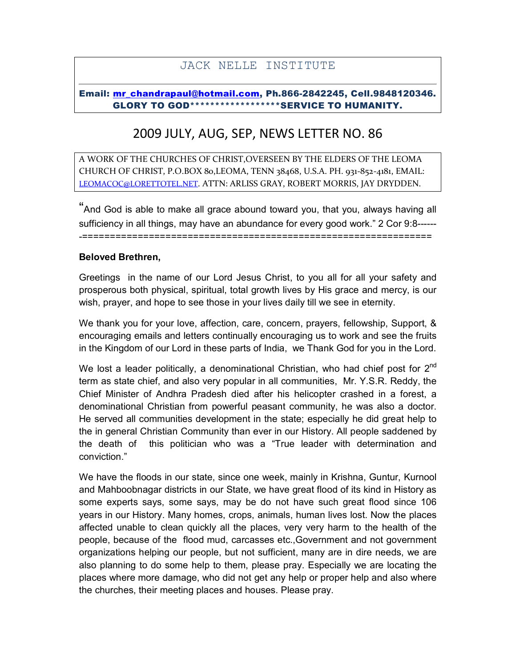## JACK NELLE INSTITUTE

## Email: mr\_chandrapaul@hotmail.com, Ph.866-2842245, Cell.9848120346. GLORY TO GOD\*\*\*\*\*\*\*\*\*\*\*\*\*\*\*\*\*\*SERVICE TO HUMANITY.

## 2009 JULY, AUG, SEP, NEWS LETTER NO. 86

A WORK OF THE CHURCHES OF CHRIST,OVERSEEN BY THE ELDERS OF THE LEOMA CHURCH OF CHRIST, P.O.BOX 80,LEOMA, TENN 38468, U.S.A. PH. 931-852-4181, EMAIL: LEOMACOC@LORETTOTEL.NET. ATTN: ARLISS GRAY, ROBERT MORRIS, JAY DRYDDEN.

"And God is able to make all grace abound toward you, that you, always having all sufficiency in all things, may have an abundance for every good work." 2 Cor 9:8------ -===============================================================

## Beloved Brethren,

Greetings in the name of our Lord Jesus Christ, to you all for all your safety and prosperous both physical, spiritual, total growth lives by His grace and mercy, is our wish, prayer, and hope to see those in your lives daily till we see in eternity.

We thank you for your love, affection, care, concern, prayers, fellowship, Support, & encouraging emails and letters continually encouraging us to work and see the fruits in the Kingdom of our Lord in these parts of India, we Thank God for you in the Lord.

We lost a leader politically, a denominational Christian, who had chief post for  $2^{nd}$ term as state chief, and also very popular in all communities, Mr. Y.S.R. Reddy, the Chief Minister of Andhra Pradesh died after his helicopter crashed in a forest, a denominational Christian from powerful peasant community, he was also a doctor. He served all communities development in the state; especially he did great help to the in general Christian Community than ever in our History. All people saddened by the death of this politician who was a "True leader with determination and conviction."

We have the floods in our state, since one week, mainly in Krishna, Guntur, Kurnool and Mahboobnagar districts in our State, we have great flood of its kind in History as some experts says, some says, may be do not have such great flood since 106 years in our History. Many homes, crops, animals, human lives lost. Now the places affected unable to clean quickly all the places, very very harm to the health of the people, because of the flood mud, carcasses etc.,Government and not government organizations helping our people, but not sufficient, many are in dire needs, we are also planning to do some help to them, please pray. Especially we are locating the places where more damage, who did not get any help or proper help and also where the churches, their meeting places and houses. Please pray.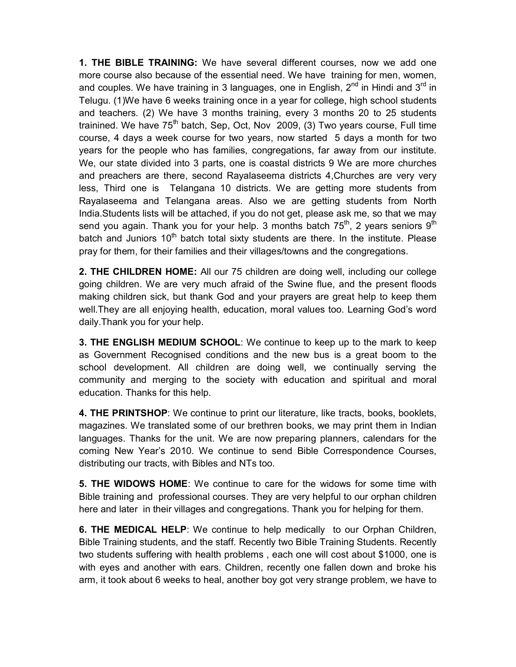1. THE BIBLE TRAINING: We have several different courses, now we add one more course also because of the essential need. We have training for men, women, and couples. We have training in 3 languages, one in English,  $2<sup>nd</sup>$  in Hindi and  $3<sup>rd</sup>$  in Telugu. (1)We have 6 weeks training once in a year for college, high school students and teachers. (2) We have 3 months training, every 3 months 20 to 25 students trainined. We have  $75<sup>th</sup>$  batch, Sep, Oct, Nov 2009, (3) Two years course, Full time course, 4 days a week course for two years, now started 5 days a month for two years for the people who has families, congregations, far away from our institute. We, our state divided into 3 parts, one is coastal districts 9 We are more churches and preachers are there, second Rayalaseema districts 4,Churches are very very less, Third one is Telangana 10 districts. We are getting more students from Rayalaseema and Telangana areas. Also we are getting students from North India.Students lists will be attached, if you do not get, please ask me, so that we may send you again. Thank you for your help. 3 months batch  $75<sup>th</sup>$ , 2 years seniors  $9<sup>th</sup>$ batch and Juniors  $10<sup>th</sup>$  batch total sixty students are there. In the institute. Please pray for them, for their families and their villages/towns and the congregations.

**2. THE CHILDREN HOME:** All our 75 children are doing well, including our college going children. We are very much afraid of the Swine flue, and the present floods making children sick, but thank God and your prayers are great help to keep them well.They are all enjoying health, education, moral values too. Learning God's word daily.Thank you for your help.

3. THE ENGLISH MEDIUM SCHOOL: We continue to keep up to the mark to keep as Government Recognised conditions and the new bus is a great boom to the school development. All children are doing well, we continually serving the community and merging to the society with education and spiritual and moral education. Thanks for this help.

4. THE PRINTSHOP: We continue to print our literature, like tracts, books, booklets, magazines. We translated some of our brethren books, we may print them in Indian languages. Thanks for the unit. We are now preparing planners, calendars for the coming New Year's 2010. We continue to send Bible Correspondence Courses, distributing our tracts, with Bibles and NTs too.

**5. THE WIDOWS HOME:** We continue to care for the widows for some time with Bible training and professional courses. They are very helpful to our orphan children here and later in their villages and congregations. Thank you for helping for them.

6. THE MEDICAL HELP: We continue to help medically to our Orphan Children, Bible Training students, and the staff. Recently two Bible Training Students. Recently two students suffering with health problems , each one will cost about \$1000, one is with eyes and another with ears. Children, recently one fallen down and broke his arm, it took about 6 weeks to heal, another boy got very strange problem, we have to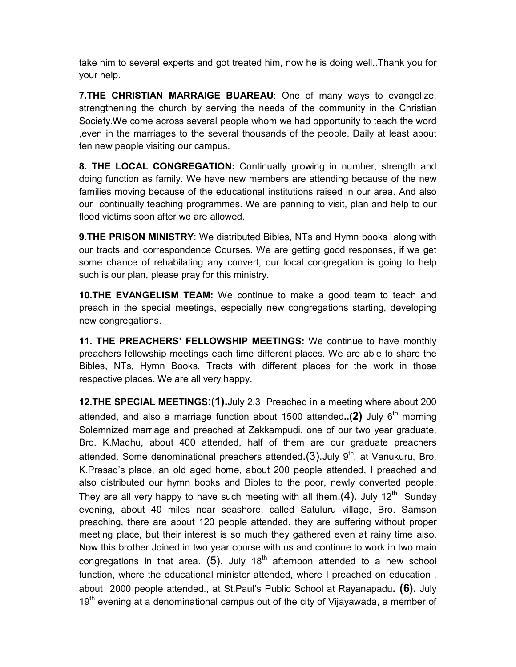take him to several experts and got treated him, now he is doing well..Thank you for your help.

7. THE CHRISTIAN MARRAIGE BUAREAU: One of many ways to evangelize, strengthening the church by serving the needs of the community in the Christian Society.We come across several people whom we had opportunity to teach the word ,even in the marriages to the several thousands of the people. Daily at least about ten new people visiting our campus.

8. THE LOCAL CONGREGATION: Continually growing in number, strength and doing function as family. We have new members are attending because of the new families moving because of the educational institutions raised in our area. And also our continually teaching programmes. We are panning to visit, plan and help to our flood victims soon after we are allowed.

**9.THE PRISON MINISTRY:** We distributed Bibles, NTs and Hymn books along with our tracts and correspondence Courses. We are getting good responses, if we get some chance of rehabilating any convert, our local congregation is going to help such is our plan, please pray for this ministry.

10.THE EVANGELISM TEAM: We continue to make a good team to teach and preach in the special meetings, especially new congregations starting, developing new congregations.

11. THE PREACHERS' FELLOWSHIP MEETINGS: We continue to have monthly preachers fellowship meetings each time different places. We are able to share the Bibles, NTs, Hymn Books, Tracts with different places for the work in those respective places. We are all very happy.

12. THE SPECIAL MEETINGS: (1). July 2,3 Preached in a meeting where about 200 attended, and also a marriage function about 1500 attended..(2) July  $6<sup>th</sup>$  morning Solemnized marriage and preached at Zakkampudi, one of our two year graduate, Bro. K.Madhu, about 400 attended, half of them are our graduate preachers attended. Some denominational preachers attended. $(3)$ . July  $9<sup>th</sup>$ , at Vanukuru, Bro. K.Prasad's place, an old aged home, about 200 people attended, I preached and also distributed our hymn books and Bibles to the poor, newly converted people. They are all very happy to have such meeting with all them.  $(4)$ . July 12<sup>th</sup> Sunday evening, about 40 miles near seashore, called Satuluru village, Bro. Samson preaching, there are about 120 people attended, they are suffering without proper meeting place, but their interest is so much they gathered even at rainy time also. Now this brother Joined in two year course with us and continue to work in two main congregations in that area.  $(5)$ . July 18<sup>th</sup> afternoon attended to a new school function, where the educational minister attended, where I preached on education , about 2000 people attended., at St.Paul's Public School at Rayanapadu. (6). July  $19<sup>th</sup>$  evening at a denominational campus out of the city of Vijayawada, a member of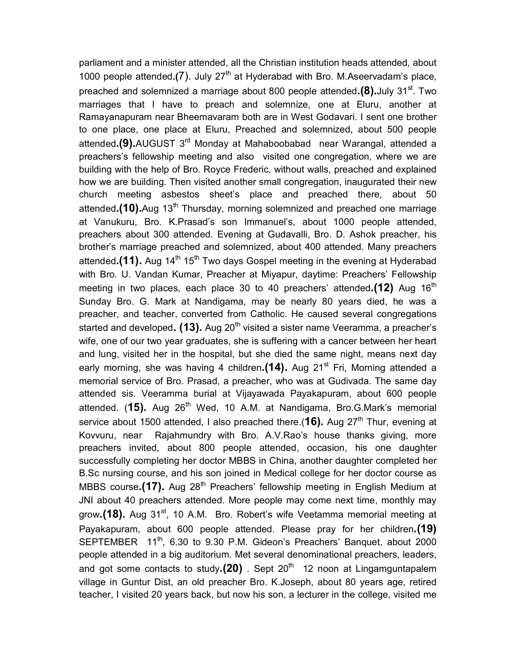parliament and a minister attended, all the Christian institution heads attended, about 1000 people attended.(7). July  $27<sup>th</sup>$  at Hyderabad with Bro. M. Aseervadam's place, preached and solemnized a marriage about 800 people attended. $(8)$ . July 31<sup>st</sup>. Two marriages that I have to preach and solemnize, one at Eluru, another at Ramayanapuram near Bheemavaram both are in West Godavari. I sent one brother to one place, one place at Eluru, Preached and solemnized, about 500 people attended.(9). AUGUST 3<sup>rd</sup> Monday at Mahaboobabad near Warangal, attended a preachers's fellowship meeting and also visited one congregation, where we are building with the help of Bro. Royce Frederic, without walls, preached and explained how we are building. Then visited another small congregation, inaugurated their new church meeting asbestos sheet's place and preached there, about 50 attended.(10). Aug 13<sup>th</sup> Thursday, morning solemnized and preached one marriage at Vanukuru, Bro. K.Prasad's son Immanuel's, about 1000 people attended, preachers about 300 attended. Evening at Gudavalli, Bro. D. Ashok preacher, his brother's marriage preached and solemnized, about 400 attended. Many preachers attended.(11). Aug 14<sup>th</sup> 15<sup>th</sup> Two days Gospel meeting in the evening at Hyderabad with Bro. U. Vandan Kumar, Preacher at Miyapur, daytime: Preachers' Fellowship meeting in two places, each place 30 to 40 preachers' attended.(12) Aug  $16<sup>th</sup>$ Sunday Bro. G. Mark at Nandigama, may be nearly 80 years died, he was a preacher, and teacher, converted from Catholic. He caused several congregations started and developed.  $(13)$ . Aug 20<sup>th</sup> visited a sister name Veeramma, a preacher's wife, one of our two year graduates, she is suffering with a cancer between her heart and lung, visited her in the hospital, but she died the same night, means next day early morning, she was having 4 children. $(14)$ . Aug 21<sup>st</sup> Fri, Morning attended a memorial service of Bro. Prasad, a preacher, who was at Gudivada. The same day attended sis. Veeramma burial at Vijayawada Payakapuram, about 600 people attended.  $(15)$ . Aug 26<sup>th</sup> Wed, 10 A.M. at Nandigama, Bro.G.Mark's memorial service about 1500 attended, I also preached there.(16). Aug  $27<sup>th</sup>$  Thur, evening at Kovvuru, near Rajahmundry with Bro. A.V.Rao's house thanks giving, more preachers invited, about 800 people attended, occasion, his one daughter successfully completing her doctor MBBS in China, another daughter completed her B.Sc nursing course, and his son joined in Medical college for her doctor course as MBBS course.(17). Aug  $28<sup>th</sup>$  Preachers' fellowship meeting in English Medium at JNI about 40 preachers attended. More people may come next time, monthly may grow.(18). Aug 31<sup>st</sup>, 10 A.M. Bro. Robert's wife Veetamma memorial meeting at Payakapuram, about 600 people attended. Please pray for her children. (19) SEPTEMBER 11<sup>th</sup>, 6.30 to 9.30 P.M. Gideon's Preachers' Banquet, about 2000 people attended in a big auditorium. Met several denominational preachers, leaders, and got some contacts to study. $(20)$ . Sept 20<sup>th</sup> 12 noon at Lingamguntapalem village in Guntur Dist, an old preacher Bro. K.Joseph, about 80 years age, retired teacher, I visited 20 years back, but now his son, a lecturer in the college, visited me